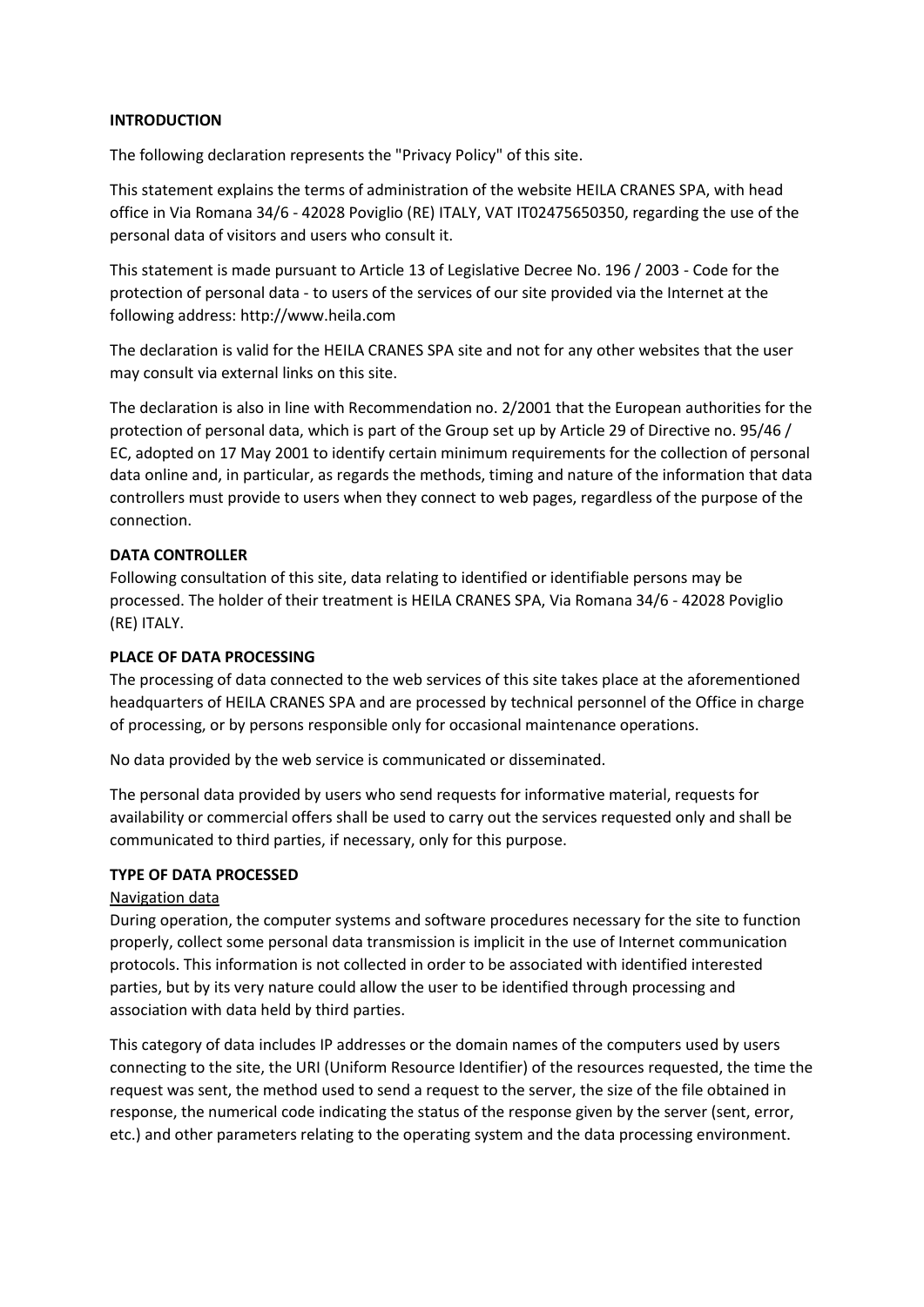# **INTRODUCTION**

The following declaration represents the "Privacy Policy" of this site.

This statement explains the terms of administration of the website HEILA CRANES SPA, with head office in Via Romana 34/6 - 42028 Poviglio (RE) ITALY, VAT IT02475650350, regarding the use of the personal data of visitors and users who consult it.

This statement is made pursuant to Article 13 of Legislative Decree No. 196 / 2003 - Code for the protection of personal data - to users of the services of our site provided via the Internet at the following address: http://www.heila.com

The declaration is valid for the HEILA CRANES SPA site and not for any other websites that the user may consult via external links on this site.

The declaration is also in line with Recommendation no. 2/2001 that the European authorities for the protection of personal data, which is part of the Group set up by Article 29 of Directive no. 95/46 / EC, adopted on 17 May 2001 to identify certain minimum requirements for the collection of personal data online and, in particular, as regards the methods, timing and nature of the information that data controllers must provide to users when they connect to web pages, regardless of the purpose of the connection.

# **DATA CONTROLLER**

Following consultation of this site, data relating to identified or identifiable persons may be processed. The holder of their treatment is HEILA CRANES SPA, Via Romana 34/6 - 42028 Poviglio (RE) ITALY.

#### **PLACE OF DATA PROCESSING**

The processing of data connected to the web services of this site takes place at the aforementioned headquarters of HEILA CRANES SPA and are processed by technical personnel of the Office in charge of processing, or by persons responsible only for occasional maintenance operations.

No data provided by the web service is communicated or disseminated.

The personal data provided by users who send requests for informative material, requests for availability or commercial offers shall be used to carry out the services requested only and shall be communicated to third parties, if necessary, only for this purpose.

# **TYPE OF DATA PROCESSED**

#### Navigation data

During operation, the computer systems and software procedures necessary for the site to function properly, collect some personal data transmission is implicit in the use of Internet communication protocols. This information is not collected in order to be associated with identified interested parties, but by its very nature could allow the user to be identified through processing and association with data held by third parties.

This category of data includes IP addresses or the domain names of the computers used by users connecting to the site, the URI (Uniform Resource Identifier) of the resources requested, the time the request was sent, the method used to send a request to the server, the size of the file obtained in response, the numerical code indicating the status of the response given by the server (sent, error, etc.) and other parameters relating to the operating system and the data processing environment.